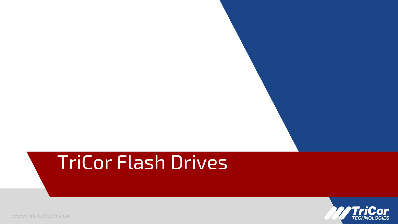# TriCor Flash Drives

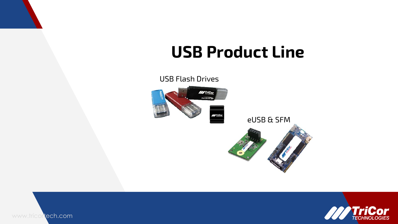## **USB Product Line**



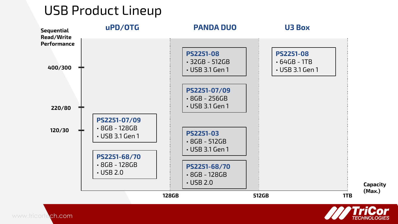#### USB Product Lineup



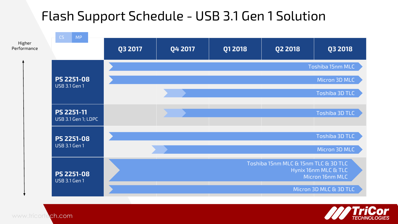## Flash Support Schedule - USB 3.1 Gen 1 Solution



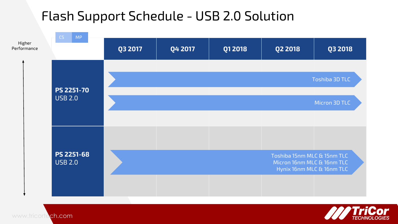## Flash Support Schedule - USB 2.0 Solution



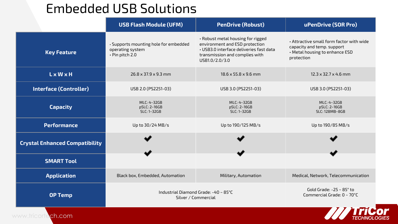#### Embedded USB Solutions

|                                       | <b>USB Flash Module (UFM)</b>                                                | <b>PenDrive (Robust)</b>                                                                                                                                           | uPenDrive (SOR Pro)                                                                                                    |  |
|---------------------------------------|------------------------------------------------------------------------------|--------------------------------------------------------------------------------------------------------------------------------------------------------------------|------------------------------------------------------------------------------------------------------------------------|--|
| <b>Key Feature</b>                    | · Supports mounting hole for embedded<br>operating system<br>· Pin pitch 2.0 | . Robust metal housing for rigged<br>environment and ESD protection<br>. USB3.0 interface deliveries fast data<br>transmission and complies with<br>USB1.0/2.0/3.0 | • Attractive small form factor with wide<br>capacity and temp. support<br>• Metal housing to enhance ESD<br>protection |  |
| <b>LxWxH</b>                          | $26.8 \times 37.9 \times 9.3$ mm                                             | 18.6 x 55.8 x 9.6 mm                                                                                                                                               | $12.3 \times 32.7 \times 4.6$ mm                                                                                       |  |
| <b>Interface (Controller)</b>         | USB 2.0 (PS2251-03)                                                          | USB 3.0 (PS2251-03)                                                                                                                                                | USB 3.0 (PS2251-03)                                                                                                    |  |
| <b>Capacity</b>                       | MLC: 4~32GB<br>pSLC: 2~16GB<br>SLC: 1~32GB                                   | MLC: 4~32GB<br>pSLC: 2~16GB<br>SLC: 1~32GB                                                                                                                         | MLC: 4~32GB<br>pSLC: 2~16GB<br>SLC: 128MB~8GB                                                                          |  |
| <b>Performance</b>                    | Up to 30/24 MB/s                                                             | Up to 190/125 MB/s                                                                                                                                                 | Up to 190/85 MB/s                                                                                                      |  |
| <b>Crystal Enhanced Compatibility</b> |                                                                              |                                                                                                                                                                    |                                                                                                                        |  |
| <b>SMART Tool</b>                     |                                                                              |                                                                                                                                                                    |                                                                                                                        |  |
| <b>Application</b>                    | Black box, Embedded, Automation                                              | Military, Automation                                                                                                                                               | Medical, Network, Telecommunication                                                                                    |  |
| <b>OP Temp</b>                        | Industrial Diamond Grade: -40 ~ 85°C<br>Silver / Commercial                  | Gold Grade: $-25 \sim 85^\circ$ to<br>Commercial Grade: 0 ~ 70°C                                                                                                   |                                                                                                                        |  |
| www.tricort<br>ch.com                 |                                                                              |                                                                                                                                                                    |                                                                                                                        |  |

**TECHNOLOGIES**